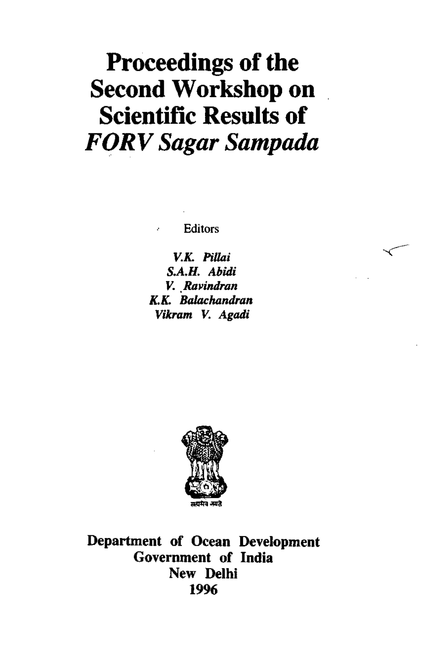# **Proceedings of the Second Workshop on Scientific Results of**  *FORV Sugar Sampudu*

**Editors** 

*V.K. Pillai S.A.H. Abidi V. Ravindran K.K. Balachandran Vikram V. Agadi* 



Department of Ocean Development Government of India New Delhi 1996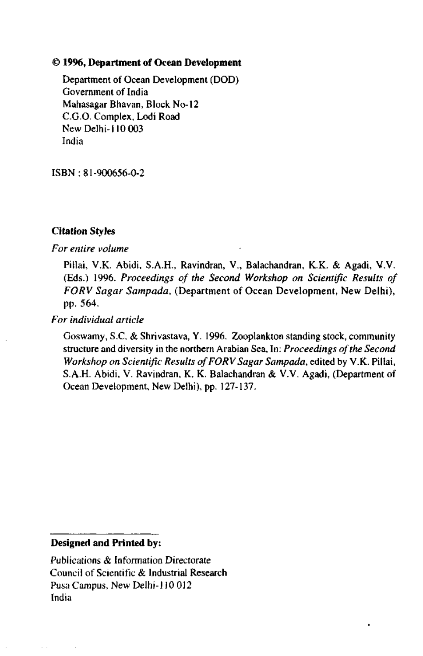# 1**1996, Department of Ocean Development**

Department of Ocean Development (DOD) Government of India Mahasagar Bhavan, Block No-12 C.G.O. Complex, Lodi Road New Delhi-110 003 India

ISBN: 81-900656-0-2

# **Citation Styles**

# *For entire volume*

Pillai, V.K. Abidi, S.A.H., Ravindran, V., Balachandran, K.K. & Agadi, V.V. (Eds.) 1996. *Proceedings of the Second Workshop on Scientific Results of FORV Sugar Sampada,* (Department of Ocean Development, New Delhi), pp. 564.

*For individual article* 

Goswamy, S.C. & Shrivastava, Y. 1996. Zooplankton standing stock, community structure and diversity in the northern Arabian Sea, In: *Proceedings of the Second Workshop on Scientific Results of FORV Sagar Sampada,* edited by V.K. Pillai, S.A.H. Abidi, V. Ravindran, K. K. Balachandran & V.V. Agadi, (Department of Ocean Development, New Delhi), pp. 127-137.

# **Designed and Printed by:**

Publications & Information Directorate Council of Scientific & Industrial Research Pusa Campus, New Delhi-110 012 India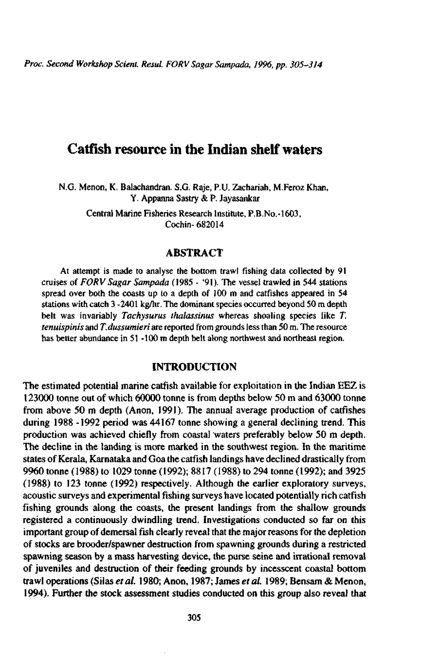*Proc. Second Workshop Scient. Resul. FORV Sugar Sampada, 1996, pp. 305-314* 

# Catfish resource in the Indian shelf waters

N.G. Menon, K. Balachandran. S.G. Raje, P.U. Zachariah, M.Feroz Khan, Y. Appanna Sastry & P. Jayasankar

> Central Marine Fisheries Research Institute, P.B.No.-1603, Cochin- 682014

# **ABSTRACT**

At attempt is made to analyse the bottom trawl fishing data collected by 91 cruises of *FORV Sagar Sampada* (1985 - '91). The vessel trawled in 544 stations spread over both the coasts up to a depth of 100 m and catfishes appeared in 54 stations with catch 3 -2401 kg/hr. The dominant species occurred beyond 50 m depth belt was invariably *Tachysurus thalassinus* whereas shoaling species like *T. tenuispinis* and *T.dussumieri* are reported from grounds less than 50 m. The resource has better abundance in 51 -100 m depth belt along northwest and northeast region.

# **INTRODUCTION**

The estimated potential marine catfish available for exploitation in the Indian EEZ is 123000 tonne out of which 60000 tonne is from depths below 50 m and 63000 tonne from above 50 m depth (Anon, 1991). The annual average production of catfishes during 1988 -1992 period was 44167 tonne showing a general declining trend. This production was achieved chiefly from coastal waters preferably below 50 m depth. The decline in the landing is more marked in the southwest region. In the maritime states of Kerala, Karnataka and Goa the catfish landings have declined drastically from 9960 tonne (1988) to 1029 tonne (1992); 8817 (1988) to 294 tonne (1992); and 3925 (1988) to 123 tonne (1992) respectively. Although the earlier exploratory surveys, acoustic surveys and experimental fishing surveys have located potentially rich catfish fishing grounds along the coasts, the present landings from the shallow grounds registered a continuously dwindling trend. Investigations conducted so far on this important group of demersal fish clearly reveal that the major reasons for the depletion of stocks are brooder/spawner destruction from spawning grounds during a restricted spawning season by a mass harvesting device, the purse seine and irrational removal of juveniles and destruction of their feeding grounds by incesscent coastal bottom trawl operations (Silas *et al.* 1980; Anon, 1987; James *et al.* 1989; Bensam & Menon, 1994). Further the stock assessment studies conducted on this group also reveal that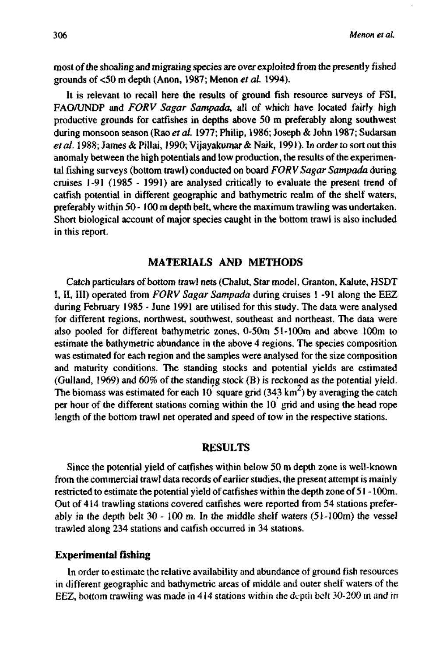most of the shoaling and migrating species are over exploited from the presently fished grounds of <50 m depth (Anon, 1987; Menon *et al.* 1994).

It is relevant to recall here the results of ground fish resource surveys of FSI, FAO/UNDP and *FORV Sagar Sampada,* all of which have located fairly high productive grounds for catfishes in depths above 50 m preferably along southwest during monsoon season (Rao *et al.* 1977; Philip, 1986; Joseph & John 1987; Sudarsan et al. 1988; James & Pillai, 1990; Vijayakumar & Naik, 1991). In order to sort out this anomaly between the high potentials and low production, the results of the experimental fishing surveys (bottom trawl) conducted on board *FORV Sagar Sampada* during cruises 1-91 (1985 - 1991) are analysed critically to evaluate the present trend of catfish potential in different geographic and bathymetric realm of the shelf waters, preferably within 50 -100 m depth belt, where the maximum trawling was undertaken. Short biological account of major species caught in the bottom trawl is also included in this report.

# **MATERIALS AND METHODS**

Catch particulars of bottom trawl nets (Chalut, Star model, Granton, Kalute, HSDT I, II, III) operated from *FORV Sagar Sampada* during cruises 1 -91 along the EEZ during February 1985 - June 1991 are utilised for this study. The data were analysed for different regions, northwest, southwest, southeast and northeast. The data were also pooled for different bathymetric zones, 0-50m 51-lOOm and above 100m to estimate the bathymetric abundance in the above 4 regions. The species composition was estimated for each region and the samples were analysed for the size composition and maturity conditions. The standing stocks and potential yields are estimated (Gulland, 1969) and 60% of the standing stock (B) is reckoned as the potential yield. The biomass was estimated for each 10 square grid (343 km<sup>2</sup>) by averaging the catch per hour of the different stations coming within the 10 grid and using the head rope length of the bottom trawl net operated and speed of tow in the respective stations.

# **RESULTS**

Since the potential yield of catfishes within below 50 m depth zone is well-known from the commercial trawl data records of earlier studies, the present attempt is mainly restricted to estimate the potential yield of catfishes within the depth zone of 51 - 100m. Out of 414 trawling stations covered catfishes were reported from 54 stations preferably in the depth belt  $30 - 100$  m. In the middle shelf waters  $(51-100m)$  the vessel trawled along 234 stations and catfish occurred in 34 stations.

#### **Experimental fishing**

In order to estimate the relative availability and abundance of ground fish resources in different geographic and bathymetric areas of middle and outer shelf waters of the EEZ, bottom trawling was made in 414 stations within ihe depth belt 30-200 m and in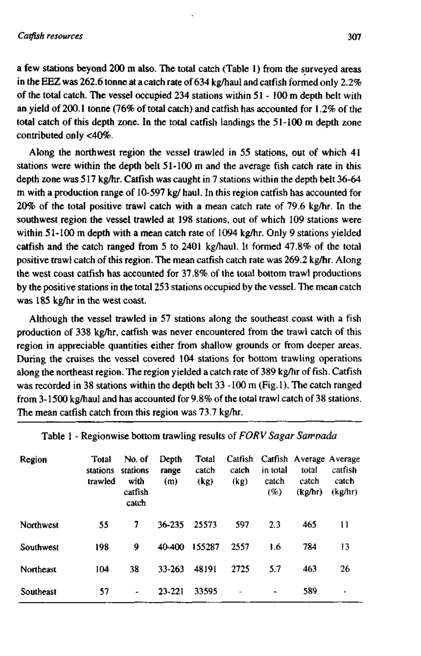a few stations beyond 200 m also. The total catch (Table 1) from the surveyed areas in the EEZ was 262.6 tonne at a catch rate of 634 kg/haul and catfish formed only 2.2% of the total catch. The vessel occupied 234 stations within 51 - 100 m depth belt with an yield of 200.1 tonne (76% of total catch) and catfish has accounted for 1.2% of the total catch of this depth zone. In the total catfish landings the 51-100 m depth zone contributed only <40%.

Along the northwest region the vessel trawled in 55 stations, out of which 41 stations were within the depth belt 51-100 m and the average fish catch rate in this depth zone was 517 kg/hr. Catfish was caught in 7 stations within the depth belt 36-64 m with a production range of 10-597 kg/ haul. In this region catfish has accounted for 20% of the total positive trawl catch with a mean catch rate of 79.6 kg/hr. In the southwest region the vessel trawled at 198 stations, out of which 109 stations were within 51-100 m depth with a mean catch rate of 1094 kg/hr. Only 9 stations yielded catfish and the catch ranged from 5 to 2401 kg/haul. It formed 47.8% of the total positive frawl catch of this region. The mean catfish catch rate was 269.2 kg/hr. Along the west coast catfish has accounted for 37.8% of the total bottom trawl productions by the positive stations in the total 253 stations occupied by the vessel. The mean catch was 185 kg/hr in the west coast.

Although the vessel trawled in 57 stations along the southeast coast with a fish production of 338 kg/hr, catfish was never encountered from the trawl catch of this region in appreciable quantities either from shallow grounds or from deeper areas. During the cruises the vessel covered 104 stations for bottom trawling operations along the northeast region. The region yielded a catch rate of 389 kg/hr of fish. Catfish was recorded in 38 stations within the depth belt 33 -100 m (Fig. 1). The catch ranged from 3-1500 kg/haul and has accounted for 9.8% of the total trawl catch of 38 stations. The mean catfish catch from this region was 73.7 kg/hr.

| Region    | Total<br>stations<br>trawled | No. of<br>stations<br>with<br>catfish<br>catch | Depth<br>range<br>(m) | Total<br>catch<br>(kg) | Catfish<br>catch<br>(kg) | in total<br>catch<br>(%) | Catfish Average Average<br>total<br>catch<br>(kg/hr) | catfish<br>catch<br>(kg/hr) |
|-----------|------------------------------|------------------------------------------------|-----------------------|------------------------|--------------------------|--------------------------|------------------------------------------------------|-----------------------------|
| Northwest | 55                           | 7                                              | 36-235                | 25573                  | 597                      | 2.3                      | 465                                                  | Ħ                           |
| Southwest | 198                          | 9                                              | 40-400                | 155287                 | 2557                     | 1.6                      | 784                                                  | 13                          |
| Northeast | 104                          | 38                                             | 33-263                | 48191                  | 2725                     | 5.7                      | 463                                                  | 26                          |
| Southeast | 57                           | $\blacksquare$                                 | 23-221                | 33595                  |                          | ۰                        | 589                                                  | $\blacksquare$              |

Table 1 - Regionwise bottom trawling results of *FORV Sagar Sairoada*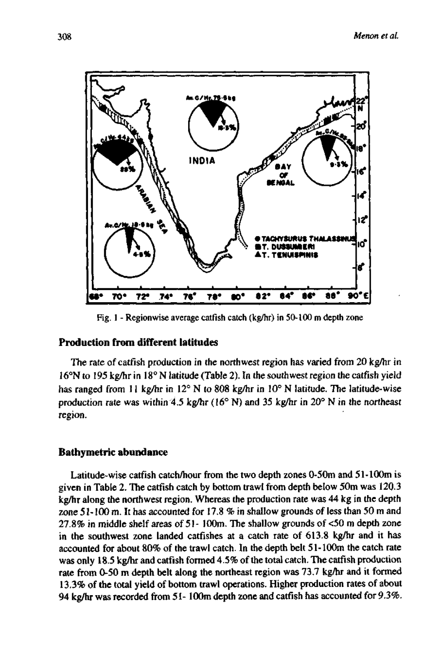

Fig. 1 - Regionwise average catfish catch (kg/hr) in 50-100 m depth zone

# **Production from different latitudes**

The rate of catfish production in the northwest region has varied from 20 kg/hr in 16°N to 195 kg/hr in 18° N latitude (Table 2). In the southwest region the catfish yield has ranged from 11 kg/hr in 12° N to 808 kg/hr in 10° N latitude. The latitude-wise production rate was within 4.5 kg/hr (16° N) and 35 kg/hr in 20° N in the northeast region.

## **Bathymetric abundance**

Latitude-wise catfish catch/hour from the two depth zones 0-50m and 51-lOOm is given in Table 2. The catfish catch by bottom trawl from depth below 50m was 120.3 kg/hr along the northwest region. Whereas the production rate was 44 kg in the depth zone 51-100 m. It has accounted for 17.8 % in shallow grounds of less than 50 m and 27.8% in middle shelf areas of 51- 100m. The shallow grounds of <50 m depth zone in the southwest zone landed catfishes at a catch rate of 613.8 kg/hr and it has accounted for about 80% of the trawl catch. In the depth belt 51-100m the catch rate was only 18.5 kg/hr and catfish formed 4.5% of the total catch. The catfish production rate from 0-50 m depth belt along the northeast region was 73.7 kg/hr and it formed 13.3% of the total yield of bottom trawl operations. Higher production rates of about 94 kg/hr was recorded from 51- 100m depth zone and catfish has accounted for 9.3%.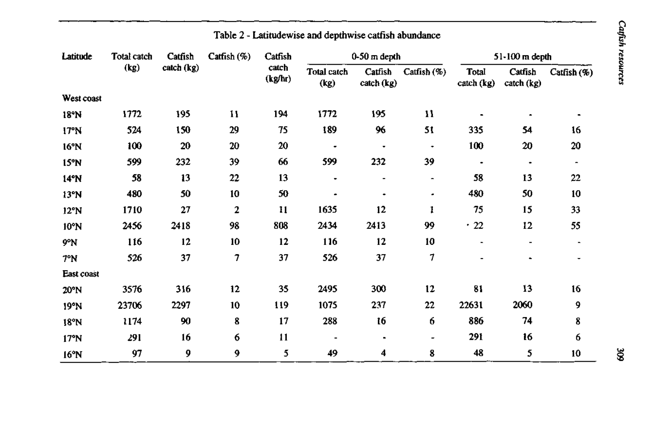| Latitude       | Total catch<br>(kg) | Catfish<br>catch (kg) | Catfish (%) | Catfish<br>catch<br>(kg/hr) | $0-50$ m depth      |                          |                     | $51-100$ m depth    |                       |                |
|----------------|---------------------|-----------------------|-------------|-----------------------------|---------------------|--------------------------|---------------------|---------------------|-----------------------|----------------|
|                |                     |                       |             |                             | Total catch<br>(kg) | Catfish<br>catch (kg)    | Catfish (%)         | Total<br>catch (kg) | Catfish<br>catch (kg) | Catrish $(\%)$ |
| West coast     |                     |                       |             |                             |                     |                          |                     |                     |                       |                |
| 18°N           | 1772                | 195                   | 11          | 194                         | 1772                | 195                      | 11                  |                     |                       |                |
| 17°N           | 524                 | 150                   | 29          | 75                          | 189                 | 96                       | 51                  | 335                 | 54                    | 16             |
| 16°N           | 100                 | 20                    | 20          | 20                          | ٠                   | ٠                        | ٠                   | 100                 | 20                    | 20             |
| 15°N           | 599                 | 232                   | 39          | 66                          | 599                 | 232                      | 39                  | ٠                   | ٠                     | $\blacksquare$ |
| 14°N           | 58                  | 13                    | 22          | 13                          | ٠                   | $\overline{\phantom{0}}$ | $\hat{\phantom{a}}$ | 58                  | 13                    | 22             |
| 13°N           | 480                 | 50                    | 10          | 50                          | ۰                   |                          | ٠                   | 480                 | 50                    | 10             |
| 12°N           | 1710                | 27                    | 2           | 11                          | 1635                | 12                       | 1                   | 75                  | 15                    | 33             |
| $10^{\circ}$ N | 2456                | 2418                  | 98          | 808                         | 2434                | 2413                     | 99                  | $\cdot$ 22          | 12                    | 55             |
| 9°N            | 116                 | 12                    | 10          | 12                          | 116                 | 12                       | 10                  |                     | -                     | $\blacksquare$ |
| 7°N            | 526                 | 37                    | 7           | 37                          | 526                 | 37                       | 7                   |                     |                       |                |
| East coast     |                     |                       |             |                             |                     |                          |                     |                     |                       |                |
| 20°N           | 3576                | 316                   | 12          | 35                          | 2495                | 300                      | 12                  | 81                  | 13                    | 16             |
| 19°N           | 23706               | 2297                  | 10          | 119                         | 1075                | 237                      | 22                  | 22631               | 2060                  | 9              |
| 18°N           | 1174                | 90                    | 8           | 17                          | 288                 | 16                       | 6                   | 886                 | 74                    | 8              |
| 17°N           | 291                 | 16                    | 6           | $\mathbf{11}$               |                     | $\blacksquare$           |                     | 291                 | 16                    | 6              |
| 16°N           | 97                  | 9                     | 9           | 5                           | 49                  | 4                        | 8                   | 48                  | 5                     | 10             |

# Table 2 - Latitudewise and depthwise catfish abundance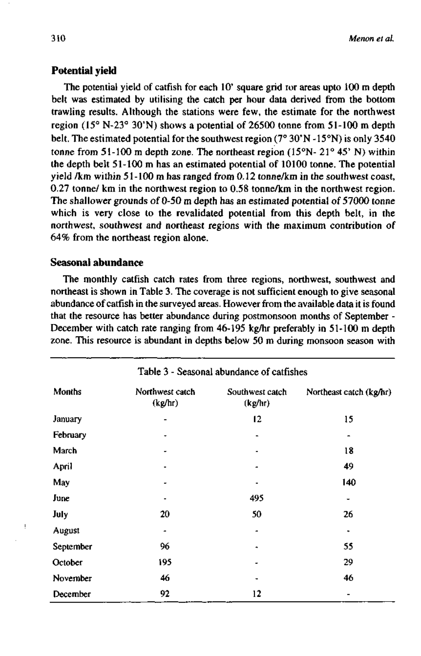# **Potential yield**

The potential yield of catfish for each 10' square grid ror areas upto 100 m depth belt was estimated by utilising the catch per hour data derived from the bottom trawling results. Although the stations were few, the estimate for the northwest region (15° N-23° 30'N) shows a potential of 26500 tonne from 51-100 m depth belt. The estimated potential for the southwest region (7° 30'N -15°N) is only 3540 tonne from 51-100 m depth zone. The northeast region (15°N- 21° 45' N) within the depth belt 51-100 m has an estimated potential of 10100 tonne. The potential yield /km within 51-100 m has ranged from 0.12 tonne/km in the southwest coast, 0.27 tonne/ km in the northwest region to 0.58 tonne/km in the northwest region. The shallower grounds of 0-50 m depth has an estimated potential of 57000 tonne which is very close to the revalidated potential from this depth belt, in the northwest, southwest and northeast regions with the maximum contribution of 64% from the northeast region alone.

# **Seasonal abundance**

The monthly catfish catch rates from three regions, northwest, southwest and northeast is shown in Table 3. The coverage is not sufficient enough to give seasonal abundance of catfish in the surveyed areas. However from the available data it is found that the resource has better abundance during postmonsoon months of September - December with catch rate ranging from 46-195 kg/hr preferably in 51-100 m depth zone. This resource is abundant in depths below 50 m during monsoon season with

| Table 3 - Seasonal abundance of catfishes |                            |                            |                         |  |  |  |  |
|-------------------------------------------|----------------------------|----------------------------|-------------------------|--|--|--|--|
| Months                                    | Northwest catch<br>(kg/hr) | Southwest catch<br>(kg/hr) | Northeast catch (kg/hr) |  |  |  |  |
| January                                   |                            | 12                         | 15                      |  |  |  |  |
| February                                  |                            |                            |                         |  |  |  |  |
| March                                     |                            |                            | 18                      |  |  |  |  |
| April                                     | ۰                          |                            | 49                      |  |  |  |  |
| May                                       |                            |                            | 140                     |  |  |  |  |
| June                                      |                            | 495                        |                         |  |  |  |  |
| July                                      | 20                         | 50                         | 26                      |  |  |  |  |
| August                                    |                            |                            |                         |  |  |  |  |
| September                                 | 96                         | ٠                          | 55                      |  |  |  |  |
| October                                   | 195                        |                            | 29                      |  |  |  |  |
| November                                  | 46                         |                            | 46                      |  |  |  |  |
| December                                  | 92                         | 12                         |                         |  |  |  |  |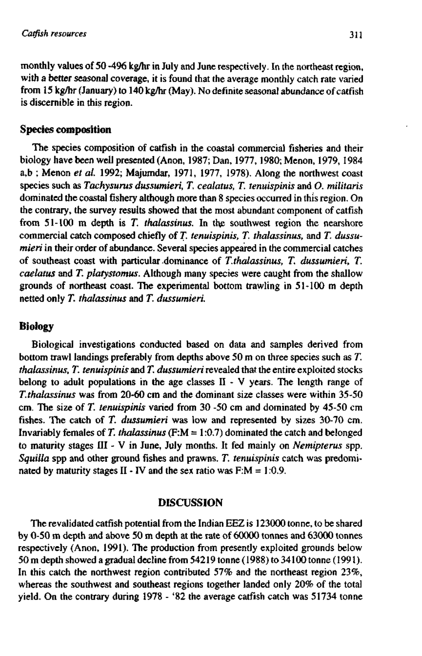monthly values of 50 -496 kg/hr in July and June respectively. In the northeast region, with a better seasonal coverage, it is found that the average monthly catch rate varied from 15 kg/hr (January) to 140 kg/hr (May). No definite seasonal abundance of catfish is discernible in this region.

# **Species composition**

The species composition of catfish in the coastal commercial fisheries and their biology have been well presented (Anon, 1987; Dan, 1977,1980; Menon, 1979, 1984 a,b ; Menon *et al.* 1992; Majumdar, 1971, 1977, 1978). Along the northwest coast species such as *Tachysurus dussumieri, T. cealatus, T. tenuispinis* and *O. militaris*  dominated the coastal fishery although more than 8 species occurred in this region. On the contrary, the survey results showed that the most abundant component of catfish from 51-100 m depth is T. thalassinus. In the southwest region the nearshore commercial catch composed chiefly of *T. tenuispinis, T. thalassinus,* and *T. dussumieri* in their order of abundance. Several species appeared in the commercial catches of southeast coast with particular dominance of *T.thalassinus, T. dussumieri, T. caelatus* and *T. platystomus.* Although many species were caught from the shallow grounds of northeast coast. The experimental bottom trawling in 51-100 m depth netted only *T. thalassinus* and *T. dussumieri.* 

# **Biology**

Biological investigations conducted based on data and samples derived from bottom trawl landings preferably from depths above 50 m on three species such as *T. thalassinus, T. tenuispinis* and *T. dussumieri* revealed that the entire exploited stocks belong to adult populations in the age classes II - V years. The length range of *T.thalassinus* was from 20-60 cm and the dominant size classes were within 35-50 cm. The size of *T. tenuispinis* varied from 30 -50 cm and dominated by 45-50 cm fishes. The catch of *T. dussumieri* was low and represented by sizes 30-70 cm. Invariably females of *T. thalassinus* (F:M = 1.0.7) dominated the catch and belonged to maturity stages III - V in June, July months. It fed mainly on *Nemipterus* spp. *Squilla* spp and other ground fishes and prawns. *T. tenuispinis* catch was predominated by maturity stages II - IV and the sex ratio was  $F:M = 1:0.9$ .

# **DISCUSSION**

The revalidated catfish potential from the Indian EEZ is 123000 tonne, to be shared by  $0-50$  m depth and above  $50$  m depth at the rate of  $60000$  tonnes and  $63000$  tonnes respectively (Anon, 1991). The production from presently exploited grounds below 50 m depth showed a gradual decline from 54219 tonne (1988) to 34100 tonne (1991). In this catch the northwest region contributed 57% and the northeast region 23%, whereas the southwest and southeast regions together landed only 20% of the total yield. On the contrary during 1978 - '82 the average catfish catch was 51734 tonne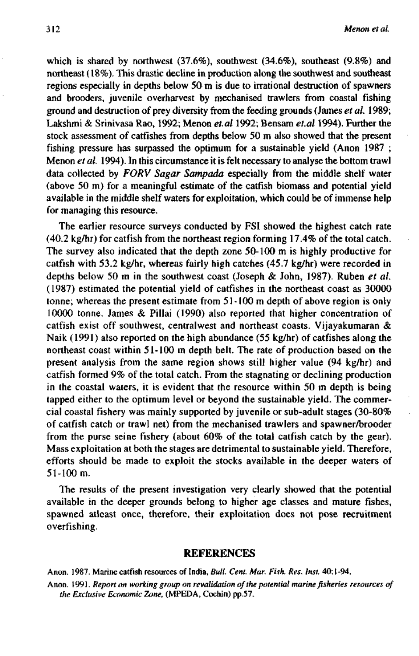which is shared by northwest (37.6%), southwest (34.6%), southeast (9.8%) and northeast (18%). This drastic decline in production along the southwest and southeast regions especially in depths below 50 m is due to irrational destruction of spawners and brooders, juvenile overharvest by mechanised trawlers from coastal fishing ground and destruction of prey diversity from the feeding grounds (James *et al.* 1989; Lakshmi & Srinivasa Rao, 1992; Menon *et.al* 1992; Bensam *et.al* 1994). Further the stock assessment of catfishes from depths below 50 m also showed that the present fishing pressure has surpassed the optimum for a sustainable yield (Anon 1987 ; Menon *et al.* 1994). In this circumstance it is felt necessary to analyse the bottom trawl data collected by *FORV Sugar Sampada* especially from the middle shelf water (above 50 m) for a meaningful estimate of the catfish biomass and potential yield available in the middle shelf waters for exploitation, which could be of immense help for managing this resource.

The earlier resource surveys conducted by FSI showed the highest catch rate (40.2 kg/hr) for catfish from the northeast region forming 17.4% of the total catch. The survey also indicated that the depth zone 50-100 m is highly productive for catfish with 53.2 kg/hr, whereas fairly high catches (45.7 kg/hr) were recorded in depths below 50 m in the southwest coast (Joseph & John, 1987). Ruben *et al.*  (1987) estimated the potential yield of catfishes in the northeast coast as 30000 tonne; whereas the present estimate from 51-100 m depth of above region is only 10000 tonne. James & Pillai (1990) also reported that higher concentration of catfish exist off southwest, centralwest and northeast coasts. Vijayakumaran & Naik (1991) also reported on the high abundance (55 kg/hr) of catfishes along the northeast coast within 51-100 m depth belt. The rate of production based on the present analysis from the same region shows still higher value (94 kg/hr) and catfish formed 9% of the total catch. From the stagnating or declining production in the coastal waters, it is evident that the resource within 50 m depth is being tapped either to the optimum level or beyond the sustainable yield. The commercial coastal fishery was mainly supported by juvenile or sub-adult stages (30-80% of catfish catch or trawl net) from the mechanised trawlers and spawner/brooder from the purse seine fishery (about 60% of the total catfish catch by the gear). Mass exploitation at both the stages are detrimental to sustainable yield. Therefore, efforts should be made to exploit the stocks available in the deeper waters of 51-100 m.

The results of the present investigation very clearly showed that the potential available in the deeper grounds belong to higher age classes and mature fishes, spawned atleast once, therefore, their exploitation does not pose recruitment overfishing.

#### REFERENCES

Anon. 1987. Marine catfish resources of India, *Bull. Cent. Mar. Fish. Res. Inst.* 40:1 -94.

Anon. 1991. *Report on working group on revalidation of the potential marine fisheries resources of the Exclusive Economic Zone,* (MPEDA, Cochin) pp.57.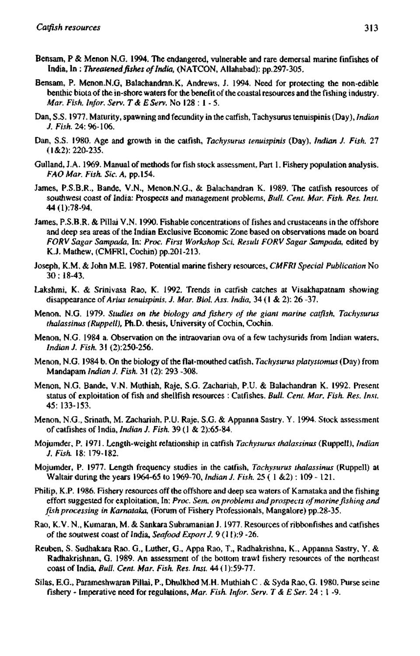- Bensam, P & Menon N.G. 1994. The endangered, vulnerable and rare demersal marine finfishes of India, In : *Threatened fishes of India,* (NATCON, Allahabad): pp.297-305.
- Bensam, P. Menon.N.G, Balachandran.K, Andrews, J. 1994. Need for protecting the non-edible benthic biota of the in-shore waters for the benefit of the coastal resources and the fishing industry. *Mar. Fish. Infor. Serv. T& EServ.* No 128 : 1 - 5.
- Dan, S.S. 1977. Maturity, spawning and fecundity in the catfish, Tachysurus tenuispinis (Day), *Indian J. Fish.* 24: 96-106.
- Dan, S.S. 1980. Age and growth in the catfish, *Tachysurus tenuispinis* (Day), *Indian J. Fish.* 27 (1&2): 220-235.
- Gulland, J.A. 1969. Manual of methods for fish stock assessment, Part 1. Fishery population analysis. *FAO Mar. Fish. Sic. A,* pp.154.
- James, P.S.B.R., Bande, V.N., Menon.N.G., & Balachandran K. 1989. The catfish resources of southwest coast of India: Prospects and management problems. *Bull. Cent. Mar. Fish. Res. Inst.*  44(l):78-94.
- James, P.S.B.R. & Pillai V.N. 1990. Fishable concentrations of fishes and crustaceans in the offshore and deep sea areas of the Indian Exclusive Economic Zone based on observations made on board *FORV Sagar Sampada,* In: *Proc. First Workshop Sci. Result FORV Sugar Sampada,* edited by K.J. Mathew, (CMFRI, Cochin) pp.201-213.
- Joseph, K.M. & John M.E. 1987. Potential marine fishery resources, *CMFRI Special Publication* No 30: 18-43.
- Lakshmi, K. & Srinivasa Rao, K. 1992. Trends in catfish catches at Visakhapatnam showing disappearance *oiArius tenuispinis, J. Mar. Biol. Ass. India,* 34 (1 & 2): 26 -37.
- Menon, N.G. 1979. *Studies on the biology and fishery of the giant marine catfish, Tachysurus thalassinus (Ruppell),* Ph.D. thesis, University of Cochin, Cochin.
- Menon, N.G. 1984 a. Observation on the intraovarian ova of a few tachysurids from Indian waters, *Indian J. Fish.* 31 (2):250-256.
- Menon, N.G. 1984 b. On the biology of the flat-mouthed catfish, *Tachysurus platystomus* (Day) from Mandapam *Indian J. Fish.* 31 (2): 293 -308.
- Menon, N.G. Bande, V.N. Muthiah, Raje, S.G. Zachariah, P.U. & Balachandran K. 1992. Present status of exploitation of fish and shellfish resources : Catfishes. *Bull. Cent Mar. Fish. Res. Inst.*  45: 133-153.
- Menon, N.G., Srinath, M. Zachariah, P.U. Raje, S.G. & Appanna Sastry. Y. 1994. Stock assessment of catfishes of India, *Indian J. Fish.* 39 (1 & 2):65-84.
- Mojumder, P. 1971. Length-weight relationship in catfish *Tachysurus thalassinus* (Ruppell), *Indian J. Fish.* 18: 179-182.
- Mojumder, P. 1977. Length frequency studies in the catfish, *Tachysurus thalassinus* (Ruppell) at Waltair during the years 1964-65 to 1969-70, *Indian J. Fish.* 25 ( 1 &2): 109 - 121.
- Philip, K.P. 1986. Fishery resources off the offshore and deep sea waters of Kamataka and the fishing effort suggested for exploitation. In: *Proc. Sem. on problems and prospects of marine fishing and fish processing in Kamataka,* (Forum of Fishery Professionals, Mangalore) pp.28-35.
- Rao, K.V. N., Kumaran, M. & Sankara Subramanian J. 1977. Resources of ribbonfishes and catfishes of the soutwest coast of India, Seafood Export J. 9 (11):9 -26.
- Reuben, S. Sudhakara Rao. G., Luther, G., Appa Rao, T., Radhakrishna, K., Appanna Sastry, Y. & Radhakrishnan, G. 1989. An assessment of the bottom ttawl fishery resources of the northeast coast of India, *Bull. Cent Mar. Fish. Res. Inst* 44 (1 ):59-77.
- Silas, E.G., Parameshwaran Pillai, P., Dhulkhed M.H. Muthiah C . & Syda Rao, G. 1980. Purse seine fishery - Imperative need for regulations. *Mar. Fish. Infor. Serv. T &E Ser.* 24 : 1 -9.